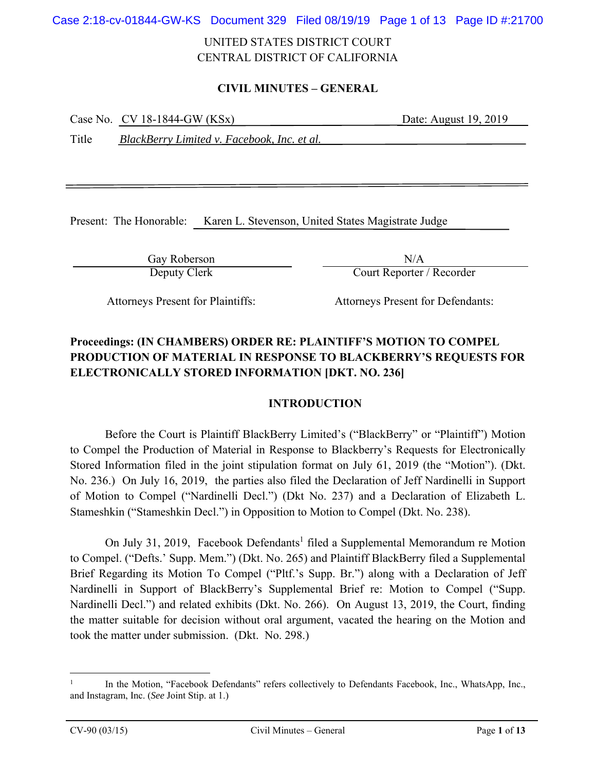Case 2:18-cv-01844-GW-KS Document 329 Filed 08/19/19 Page 1 of 13 Page ID #:21700

## UNITED STATES DISTRICT COURT CENTRAL DISTRICT OF CALIFORNIA

### **CIVIL MINUTES – GENERAL**

| Case No. $CV$ 18-1844-GW (KSx) | Date: August 19, 2019 |
|--------------------------------|-----------------------|
|                                |                       |

Title *BlackBerry Limited v. Facebook, Inc. et al.* 

Present: The Honorable: Karen L. Stevenson, United States Magistrate Judge

Gay Roberson N/A

Deputy Clerk Court Reporter / Recorder

Attorneys Present for Plaintiffs: Attorneys Present for Defendants:

# **Proceedings: (IN CHAMBERS) ORDER RE: PLAINTIFF'S MOTION TO COMPEL PRODUCTION OF MATERIAL IN RESPONSE TO BLACKBERRY'S REQUESTS FOR ELECTRONICALLY STORED INFORMATION [DKT. NO. 236]**

### **INTRODUCTION**

 Before the Court is Plaintiff BlackBerry Limited's ("BlackBerry" or "Plaintiff") Motion to Compel the Production of Material in Response to Blackberry's Requests for Electronically Stored Information filed in the joint stipulation format on July 61, 2019 (the "Motion"). (Dkt. No. 236.) On July 16, 2019, the parties also filed the Declaration of Jeff Nardinelli in Support of Motion to Compel ("Nardinelli Decl.") (Dkt No. 237) and a Declaration of Elizabeth L. Stameshkin ("Stameshkin Decl.") in Opposition to Motion to Compel (Dkt. No. 238).

On July 31, 2019, Facebook Defendants<sup>1</sup> filed a Supplemental Memorandum re Motion to Compel. ("Defts.' Supp. Mem.") (Dkt. No. 265) and Plaintiff BlackBerry filed a Supplemental Brief Regarding its Motion To Compel ("Pltf.'s Supp. Br.") along with a Declaration of Jeff Nardinelli in Support of BlackBerry's Supplemental Brief re: Motion to Compel ("Supp. Nardinelli Decl.") and related exhibits (Dkt. No. 266). On August 13, 2019, the Court, finding the matter suitable for decision without oral argument, vacated the hearing on the Motion and took the matter under submission. (Dkt. No. 298.)

 $\overline{a}$ 

<sup>1</sup> In the Motion, "Facebook Defendants" refers collectively to Defendants Facebook, Inc., WhatsApp, Inc., and Instagram, Inc. (*See* Joint Stip. at 1.)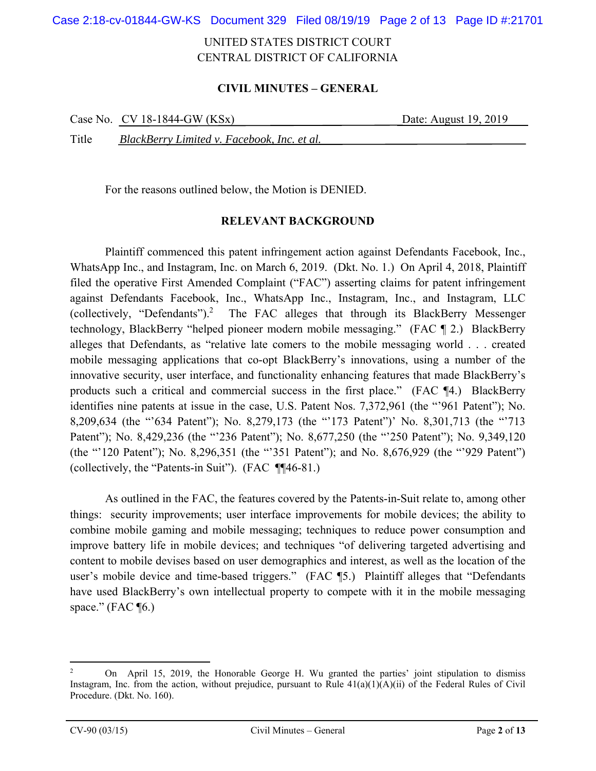Case 2:18-cv-01844-GW-KS Document 329 Filed 08/19/19 Page 2 of 13 Page ID #:21701

## UNITED STATES DISTRICT COURT CENTRAL DISTRICT OF CALIFORNIA

### **CIVIL MINUTES – GENERAL**

|       | Case No. $CV$ 18-1844-GW (KSx)              | Date: August 19, 2019 |
|-------|---------------------------------------------|-----------------------|
| Title | BlackBerry Limited v. Facebook, Inc. et al. |                       |

For the reasons outlined below, the Motion is DENIED.

#### **RELEVANT BACKGROUND**

Plaintiff commenced this patent infringement action against Defendants Facebook, Inc., WhatsApp Inc., and Instagram, Inc. on March 6, 2019. (Dkt. No. 1.) On April 4, 2018, Plaintiff filed the operative First Amended Complaint ("FAC") asserting claims for patent infringement against Defendants Facebook, Inc., WhatsApp Inc., Instagram, Inc., and Instagram, LLC (collectively, "Defendants").2 The FAC alleges that through its BlackBerry Messenger technology, BlackBerry "helped pioneer modern mobile messaging." (FAC ¶ 2.) BlackBerry alleges that Defendants, as "relative late comers to the mobile messaging world . . . created mobile messaging applications that co-opt BlackBerry's innovations, using a number of the innovative security, user interface, and functionality enhancing features that made BlackBerry's products such a critical and commercial success in the first place." (FAC ¶4.) BlackBerry identifies nine patents at issue in the case, U.S. Patent Nos. 7,372,961 (the "'961 Patent"); No. 8,209,634 (the "'634 Patent"); No. 8,279,173 (the "'173 Patent")' No. 8,301,713 (the "'713 Patent"); No. 8,429,236 (the "'236 Patent"); No. 8,677,250 (the "'250 Patent"); No. 9,349,120 (the "'120 Patent"); No. 8,296,351 (the "'351 Patent"); and No. 8,676,929 (the "'929 Patent") (collectively, the "Patents-in Suit"). (FAC ¶¶46-81.)

 As outlined in the FAC, the features covered by the Patents-in-Suit relate to, among other things: security improvements; user interface improvements for mobile devices; the ability to combine mobile gaming and mobile messaging; techniques to reduce power consumption and improve battery life in mobile devices; and techniques "of delivering targeted advertising and content to mobile devises based on user demographics and interest, as well as the location of the user's mobile device and time-based triggers." (FAC ¶5.) Plaintiff alleges that "Defendants have used BlackBerry's own intellectual property to compete with it in the mobile messaging space." (FAC $\P$ 6.)

 $\overline{a}$ 

<sup>2</sup> On April 15, 2019, the Honorable George H. Wu granted the parties' joint stipulation to dismiss Instagram, Inc. from the action, without prejudice, pursuant to Rule  $41(a)(1)(A)(ii)$  of the Federal Rules of Civil Procedure. (Dkt. No. 160).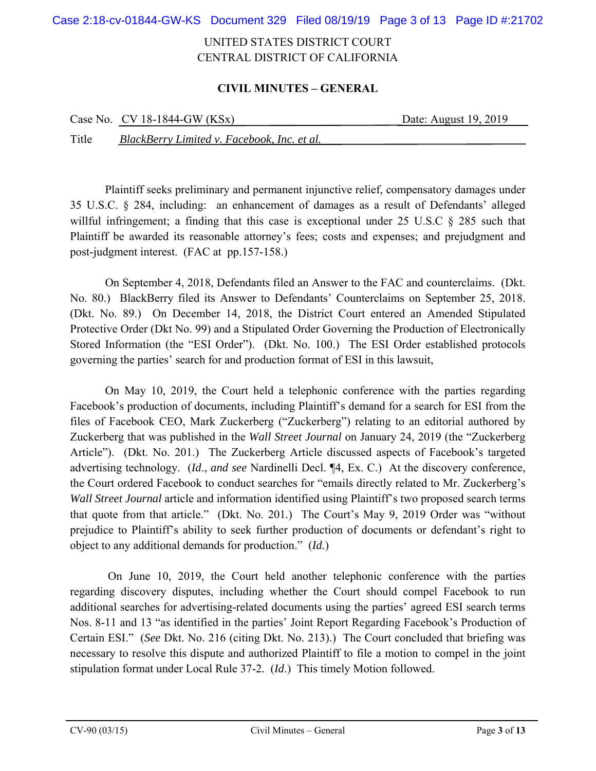Case 2:18-cv-01844-GW-KS Document 329 Filed 08/19/19 Page 3 of 13 Page ID #:21702

## UNITED STATES DISTRICT COURT CENTRAL DISTRICT OF CALIFORNIA

### **CIVIL MINUTES – GENERAL**

|       | Case No. $CV 18-1844-GW (KSx)$              | Date: August 19, 2019 |
|-------|---------------------------------------------|-----------------------|
| Title | BlackBerry Limited v. Facebook, Inc. et al. |                       |

 Plaintiff seeks preliminary and permanent injunctive relief, compensatory damages under 35 U.S.C. § 284, including: an enhancement of damages as a result of Defendants' alleged willful infringement; a finding that this case is exceptional under 25 U.S.C § 285 such that Plaintiff be awarded its reasonable attorney's fees; costs and expenses; and prejudgment and post-judgment interest. (FAC at pp.157-158.)

 On September 4, 2018, Defendants filed an Answer to the FAC and counterclaims. (Dkt. No. 80.) BlackBerry filed its Answer to Defendants' Counterclaims on September 25, 2018. (Dkt. No. 89.) On December 14, 2018, the District Court entered an Amended Stipulated Protective Order (Dkt No. 99) and a Stipulated Order Governing the Production of Electronically Stored Information (the "ESI Order"). (Dkt. No. 100.) The ESI Order established protocols governing the parties' search for and production format of ESI in this lawsuit,

 On May 10, 2019, the Court held a telephonic conference with the parties regarding Facebook's production of documents, including Plaintiff's demand for a search for ESI from the files of Facebook CEO, Mark Zuckerberg ("Zuckerberg") relating to an editorial authored by Zuckerberg that was published in the *Wall Street Journal* on January 24, 2019 (the "Zuckerberg Article"). (Dkt. No. 201.) The Zuckerberg Article discussed aspects of Facebook's targeted advertising technology. (*Id*., *and see* Nardinelli Decl. ¶4, Ex. C.) At the discovery conference, the Court ordered Facebook to conduct searches for "emails directly related to Mr. Zuckerberg's *Wall Street Journal* article and information identified using Plaintiff's two proposed search terms that quote from that article." (Dkt. No. 201*.*) The Court's May 9, 2019 Order was "without prejudice to Plaintiff's ability to seek further production of documents or defendant's right to object to any additional demands for production." (*Id.*)

 On June 10, 2019, the Court held another telephonic conference with the parties regarding discovery disputes, including whether the Court should compel Facebook to run additional searches for advertising-related documents using the parties' agreed ESI search terms Nos. 8-11 and 13 "as identified in the parties' Joint Report Regarding Facebook's Production of Certain ESI." (*See* Dkt. No. 216 (citing Dkt. No. 213).) The Court concluded that briefing was necessary to resolve this dispute and authorized Plaintiff to file a motion to compel in the joint stipulation format under Local Rule 37-2. (*Id*.) This timely Motion followed.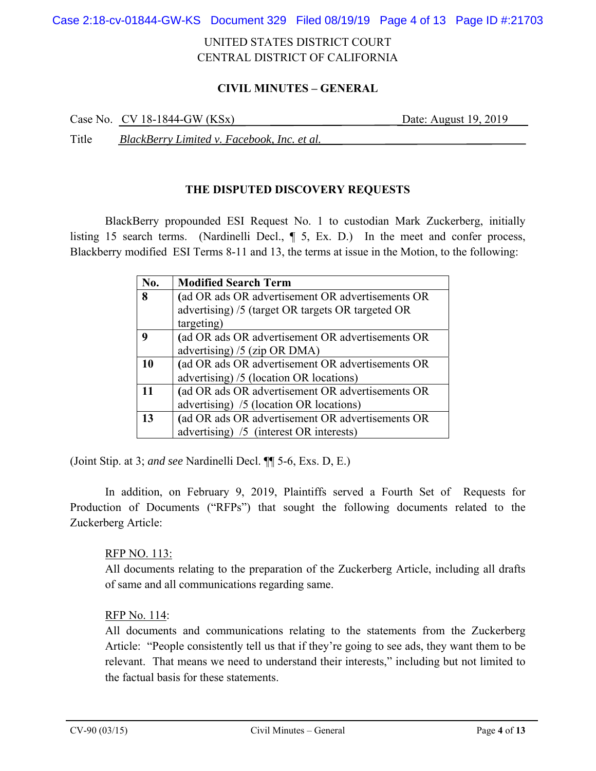Case 2:18-cv-01844-GW-KS Document 329 Filed 08/19/19 Page 4 of 13 Page ID #:21703

## UNITED STATES DISTRICT COURT CENTRAL DISTRICT OF CALIFORNIA

### **CIVIL MINUTES – GENERAL**

Case No. CV 18-1844-GW (KSx) Date: August 19, 2019

Title *BlackBerry Limited v. Facebook, Inc. et al.* 

### **THE DISPUTED DISCOVERY REQUESTS**

BlackBerry propounded ESI Request No. 1 to custodian Mark Zuckerberg, initially listing 15 search terms. (Nardinelli Decl., ¶ 5, Ex. D.) In the meet and confer process, Blackberry modified ESI Terms 8-11 and 13, the terms at issue in the Motion, to the following:

| No. | <b>Modified Search Term</b>                       |
|-----|---------------------------------------------------|
| 8   | (ad OR ads OR advertisement OR advertisements OR  |
|     | advertising) /5 (target OR targets OR targeted OR |
|     | targeting)                                        |
| 9   | (ad OR ads OR advertisement OR advertisements OR  |
|     | advertising) $/5$ (zip OR DMA)                    |
| 10  | (ad OR ads OR advertisement OR advertisements OR  |
|     | advertising) /5 (location OR locations)           |
| 11  | (ad OR ads OR advertisement OR advertisements OR  |
|     | advertising) /5 (location OR locations)           |
| 13  | (ad OR ads OR advertisement OR advertisements OR  |
|     | advertising) /5 (interest OR interests)           |

(Joint Stip. at 3; *and see* Nardinelli Decl. ¶¶ 5-6, Exs. D, E.)

 In addition, on February 9, 2019, Plaintiffs served a Fourth Set of Requests for Production of Documents ("RFPs") that sought the following documents related to the Zuckerberg Article:

### RFP NO. 113:

All documents relating to the preparation of the Zuckerberg Article, including all drafts of same and all communications regarding same.

### RFP No. 114:

All documents and communications relating to the statements from the Zuckerberg Article: "People consistently tell us that if they're going to see ads, they want them to be relevant. That means we need to understand their interests," including but not limited to the factual basis for these statements.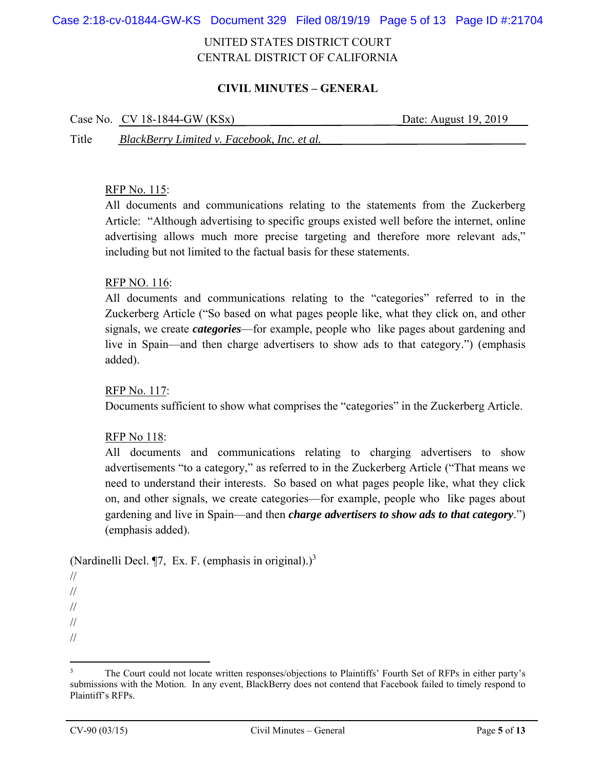Case 2:18-cv-01844-GW-KS Document 329 Filed 08/19/19 Page 5 of 13 Page ID #:21704

## UNITED STATES DISTRICT COURT CENTRAL DISTRICT OF CALIFORNIA

### **CIVIL MINUTES – GENERAL**

|       | Case No. $CV$ 18-1844-GW (KSx)              | Date: August 19, 2019 |
|-------|---------------------------------------------|-----------------------|
| Title | BlackBerry Limited v. Facebook, Inc. et al. |                       |

#### RFP No. 115:

All documents and communications relating to the statements from the Zuckerberg Article: "Although advertising to specific groups existed well before the internet, online advertising allows much more precise targeting and therefore more relevant ads," including but not limited to the factual basis for these statements.

#### RFP NO. 116:

All documents and communications relating to the "categories" referred to in the Zuckerberg Article ("So based on what pages people like, what they click on, and other signals, we create *categories*—for example, people who like pages about gardening and live in Spain—and then charge advertisers to show ads to that category.") (emphasis added).

RFP No. 117:

Documents sufficient to show what comprises the "categories" in the Zuckerberg Article.

### RFP No 118:

All documents and communications relating to charging advertisers to show advertisements "to a category," as referred to in the Zuckerberg Article ("That means we need to understand their interests. So based on what pages people like, what they click on, and other signals, we create categories—for example, people who like pages about gardening and live in Spain—and then *charge advertisers to show ads to that category*.") (emphasis added).

### (Nardinelli Decl. ¶7, Ex. F. (emphasis in original).)<sup>3</sup>

 $\overline{a}$ 

<sup>//</sup>  //

<sup>//</sup> 

<sup>//</sup> 

<sup>//</sup> 

<sup>3</sup> The Court could not locate written responses/objections to Plaintiffs' Fourth Set of RFPs in either party's submissions with the Motion. In any event, BlackBerry does not contend that Facebook failed to timely respond to Plaintiff's RFPs.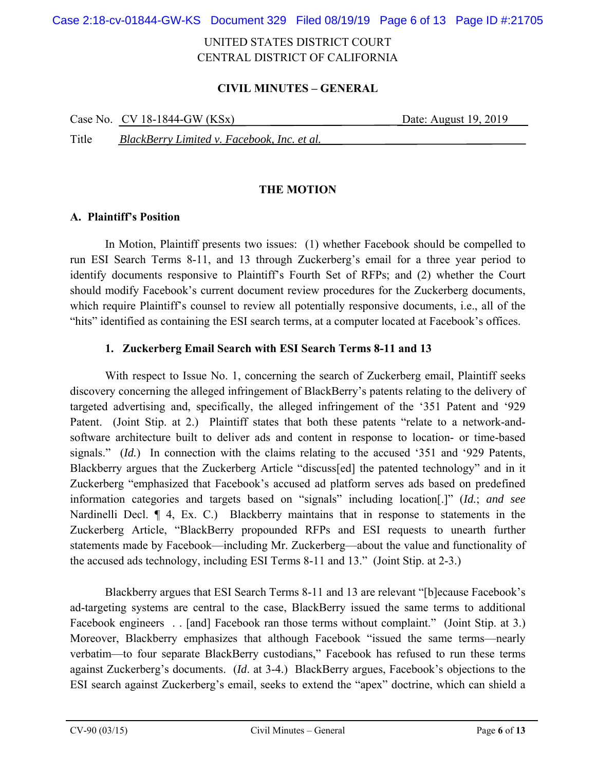Case 2:18-cv-01844-GW-KS Document 329 Filed 08/19/19 Page 6 of 13 Page ID #:21705

## UNITED STATES DISTRICT COURT CENTRAL DISTRICT OF CALIFORNIA

#### **CIVIL MINUTES – GENERAL**

|       | Case No. $CV 18-1844-GW (KSx)$              | Date: August 19, 2019 |
|-------|---------------------------------------------|-----------------------|
| Title | BlackBerry Limited v. Facebook, Inc. et al. |                       |

#### **THE MOTION**

#### **A. Plaintiff's Position**

In Motion, Plaintiff presents two issues: (1) whether Facebook should be compelled to run ESI Search Terms 8-11, and 13 through Zuckerberg's email for a three year period to identify documents responsive to Plaintiff's Fourth Set of RFPs; and (2) whether the Court should modify Facebook's current document review procedures for the Zuckerberg documents, which require Plaintiff's counsel to review all potentially responsive documents, i.e., all of the "hits" identified as containing the ESI search terms, at a computer located at Facebook's offices.

#### **1. Zuckerberg Email Search with ESI Search Terms 8-11 and 13**

With respect to Issue No. 1, concerning the search of Zuckerberg email, Plaintiff seeks discovery concerning the alleged infringement of BlackBerry's patents relating to the delivery of targeted advertising and, specifically, the alleged infringement of the '351 Patent and '929 Patent. (Joint Stip. at 2.) Plaintiff states that both these patents "relate to a network-andsoftware architecture built to deliver ads and content in response to location- or time-based signals." (*Id.*) In connection with the claims relating to the accused '351 and '929 Patents, Blackberry argues that the Zuckerberg Article "discuss[ed] the patented technology" and in it Zuckerberg "emphasized that Facebook's accused ad platform serves ads based on predefined information categories and targets based on "signals" including location[.]" (*Id.*; *and see* Nardinelli Decl. ¶ 4, Ex. C.) Blackberry maintains that in response to statements in the Zuckerberg Article, "BlackBerry propounded RFPs and ESI requests to unearth further statements made by Facebook—including Mr. Zuckerberg—about the value and functionality of the accused ads technology, including ESI Terms 8-11 and 13." (Joint Stip. at 2-3.)

Blackberry argues that ESI Search Terms 8-11 and 13 are relevant "[b]ecause Facebook's ad-targeting systems are central to the case, BlackBerry issued the same terms to additional Facebook engineers . . [and] Facebook ran those terms without complaint." (Joint Stip. at 3.) Moreover, Blackberry emphasizes that although Facebook "issued the same terms—nearly verbatim—to four separate BlackBerry custodians," Facebook has refused to run these terms against Zuckerberg's documents. (*Id*. at 3-4.) BlackBerry argues, Facebook's objections to the ESI search against Zuckerberg's email, seeks to extend the "apex" doctrine, which can shield a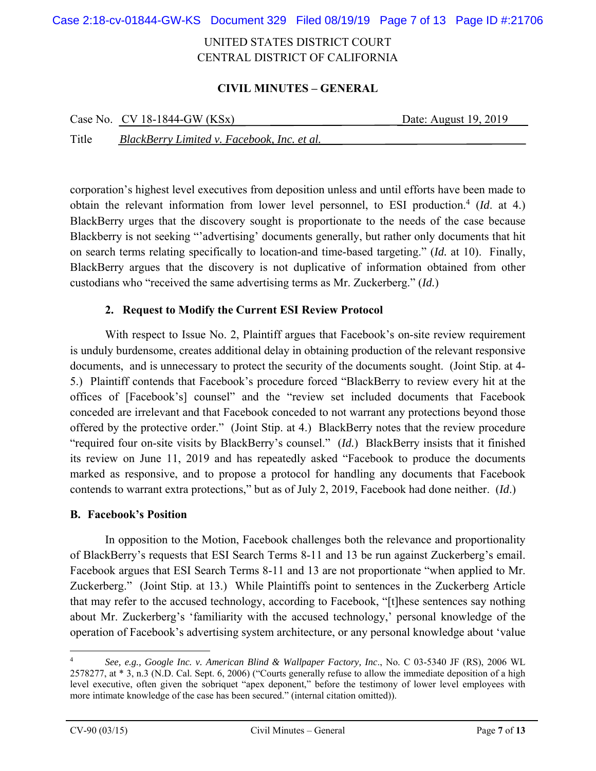Case 2:18-cv-01844-GW-KS Document 329 Filed 08/19/19 Page 7 of 13 Page ID #:21706

## UNITED STATES DISTRICT COURT CENTRAL DISTRICT OF CALIFORNIA

### **CIVIL MINUTES – GENERAL**

|       | Case No. $CV 18-1844-GW (KSx)$              | Date: August 19, 2019 |
|-------|---------------------------------------------|-----------------------|
| Title | BlackBerry Limited v. Facebook, Inc. et al. |                       |

corporation's highest level executives from deposition unless and until efforts have been made to obtain the relevant information from lower level personnel, to ESI production.<sup>4</sup> (Id. at 4.) BlackBerry urges that the discovery sought is proportionate to the needs of the case because Blackberry is not seeking "advertising' documents generally, but rather only documents that hit on search terms relating specifically to location-and time-based targeting." (*Id.* at 10). Finally, BlackBerry argues that the discovery is not duplicative of information obtained from other custodians who "received the same advertising terms as Mr. Zuckerberg." (*Id.*)

#### **2. Request to Modify the Current ESI Review Protocol**

With respect to Issue No. 2, Plaintiff argues that Facebook's on-site review requirement is unduly burdensome, creates additional delay in obtaining production of the relevant responsive documents, and is unnecessary to protect the security of the documents sought. (Joint Stip. at 4- 5.) Plaintiff contends that Facebook's procedure forced "BlackBerry to review every hit at the offices of [Facebook's] counsel" and the "review set included documents that Facebook conceded are irrelevant and that Facebook conceded to not warrant any protections beyond those offered by the protective order." (Joint Stip. at 4.) BlackBerry notes that the review procedure "required four on-site visits by BlackBerry's counsel." (*Id.*) BlackBerry insists that it finished its review on June 11, 2019 and has repeatedly asked "Facebook to produce the documents marked as responsive, and to propose a protocol for handling any documents that Facebook contends to warrant extra protections," but as of July 2, 2019, Facebook had done neither. (*Id*.)

### **B. Facebook's Position**

In opposition to the Motion, Facebook challenges both the relevance and proportionality of BlackBerry's requests that ESI Search Terms 8-11 and 13 be run against Zuckerberg's email. Facebook argues that ESI Search Terms 8-11 and 13 are not proportionate "when applied to Mr. Zuckerberg." (Joint Stip. at 13.) While Plaintiffs point to sentences in the Zuckerberg Article that may refer to the accused technology, according to Facebook, "[t]hese sentences say nothing about Mr. Zuckerberg's 'familiarity with the accused technology,' personal knowledge of the operation of Facebook's advertising system architecture, or any personal knowledge about 'value

1

<sup>4</sup> *See, e.g., Google Inc. v. American Blind & Wallpaper Factory, Inc*., No. C 03-5340 JF (RS), 2006 WL 2578277, at \* 3, n.3 (N.D. Cal. Sept. 6, 2006) ("Courts generally refuse to allow the immediate deposition of a high level executive, often given the sobriquet "apex deponent," before the testimony of lower level employees with more intimate knowledge of the case has been secured." (internal citation omitted)).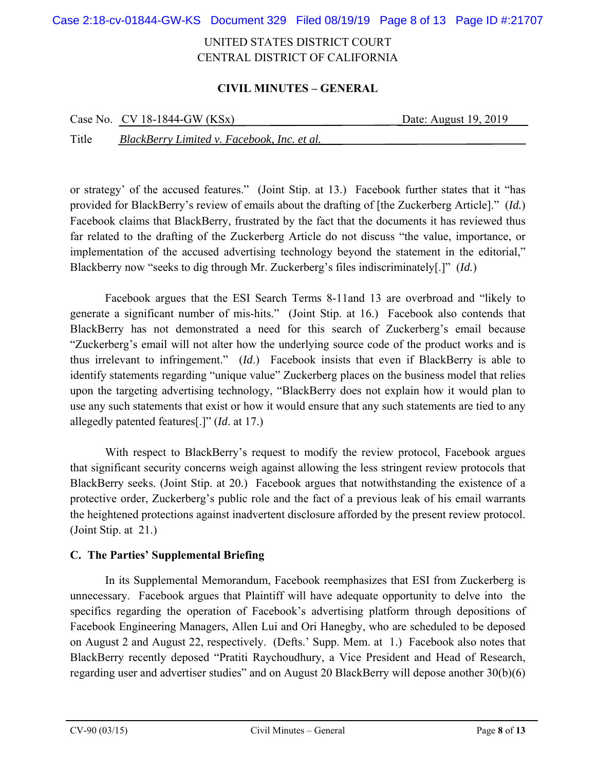Case 2:18-cv-01844-GW-KS Document 329 Filed 08/19/19 Page 8 of 13 Page ID #:21707

## UNITED STATES DISTRICT COURT CENTRAL DISTRICT OF CALIFORNIA

### **CIVIL MINUTES – GENERAL**

|       | Case No. $CV$ 18-1844-GW (KSx)              | Date: August 19, 2019 |
|-------|---------------------------------------------|-----------------------|
| Title | BlackBerry Limited v. Facebook, Inc. et al. |                       |

or strategy' of the accused features." (Joint Stip. at 13.) Facebook further states that it "has provided for BlackBerry's review of emails about the drafting of [the Zuckerberg Article]." (*Id.*) Facebook claims that BlackBerry, frustrated by the fact that the documents it has reviewed thus far related to the drafting of the Zuckerberg Article do not discuss "the value, importance, or implementation of the accused advertising technology beyond the statement in the editorial," Blackberry now "seeks to dig through Mr. Zuckerberg's files indiscriminately[.]" (*Id.*)

Facebook argues that the ESI Search Terms 8-11and 13 are overbroad and "likely to generate a significant number of mis-hits." (Joint Stip. at 16.) Facebook also contends that BlackBerry has not demonstrated a need for this search of Zuckerberg's email because "Zuckerberg's email will not alter how the underlying source code of the product works and is thus irrelevant to infringement." (*Id*.) Facebook insists that even if BlackBerry is able to identify statements regarding "unique value" Zuckerberg places on the business model that relies upon the targeting advertising technology, "BlackBerry does not explain how it would plan to use any such statements that exist or how it would ensure that any such statements are tied to any allegedly patented features[.]" (*Id*. at 17.)

With respect to BlackBerry's request to modify the review protocol, Facebook argues that significant security concerns weigh against allowing the less stringent review protocols that BlackBerry seeks. (Joint Stip. at 20.) Facebook argues that notwithstanding the existence of a protective order, Zuckerberg's public role and the fact of a previous leak of his email warrants the heightened protections against inadvertent disclosure afforded by the present review protocol. (Joint Stip. at 21.)

### **C. The Parties' Supplemental Briefing**

In its Supplemental Memorandum, Facebook reemphasizes that ESI from Zuckerberg is unnecessary. Facebook argues that Plaintiff will have adequate opportunity to delve into the specifics regarding the operation of Facebook's advertising platform through depositions of Facebook Engineering Managers, Allen Lui and Ori Hanegby, who are scheduled to be deposed on August 2 and August 22, respectively. (Defts.' Supp. Mem. at 1.) Facebook also notes that BlackBerry recently deposed "Pratiti Raychoudhury, a Vice President and Head of Research, regarding user and advertiser studies" and on August 20 BlackBerry will depose another 30(b)(6)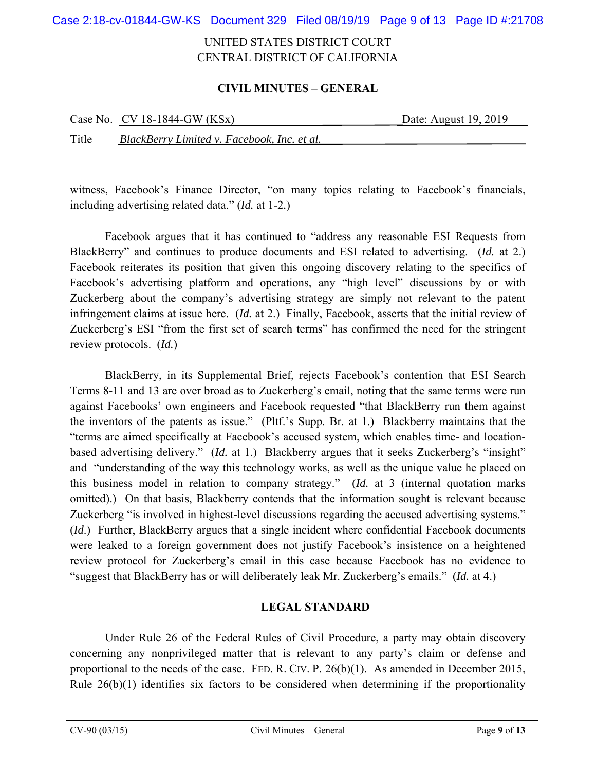Case 2:18-cv-01844-GW-KS Document 329 Filed 08/19/19 Page 9 of 13 Page ID #:21708

## UNITED STATES DISTRICT COURT CENTRAL DISTRICT OF CALIFORNIA

### **CIVIL MINUTES – GENERAL**

|       | Case No. $CV 18-1844-GW (KSx)$              | Date: August 19, 2019 |
|-------|---------------------------------------------|-----------------------|
| Title | BlackBerry Limited v. Facebook, Inc. et al. |                       |

witness, Facebook's Finance Director, "on many topics relating to Facebook's financials, including advertising related data." (*Id.* at 1-2*.*)

Facebook argues that it has continued to "address any reasonable ESI Requests from BlackBerry" and continues to produce documents and ESI related to advertising. (*Id.* at 2.) Facebook reiterates its position that given this ongoing discovery relating to the specifics of Facebook's advertising platform and operations, any "high level" discussions by or with Zuckerberg about the company's advertising strategy are simply not relevant to the patent infringement claims at issue here. (*Id.* at 2.) Finally, Facebook, asserts that the initial review of Zuckerberg's ESI "from the first set of search terms" has confirmed the need for the stringent review protocols. (*Id.*)

BlackBerry, in its Supplemental Brief, rejects Facebook's contention that ESI Search Terms 8-11 and 13 are over broad as to Zuckerberg's email, noting that the same terms were run against Facebooks' own engineers and Facebook requested "that BlackBerry run them against the inventors of the patents as issue." (Pltf.'s Supp. Br. at 1.) Blackberry maintains that the "terms are aimed specifically at Facebook's accused system, which enables time- and locationbased advertising delivery." (*Id.* at 1.) Blackberry argues that it seeks Zuckerberg's "insight" and "understanding of the way this technology works, as well as the unique value he placed on this business model in relation to company strategy." (*Id.* at 3 (internal quotation marks omitted).) On that basis, Blackberry contends that the information sought is relevant because Zuckerberg "is involved in highest-level discussions regarding the accused advertising systems." (*Id.*) Further, BlackBerry argues that a single incident where confidential Facebook documents were leaked to a foreign government does not justify Facebook's insistence on a heightened review protocol for Zuckerberg's email in this case because Facebook has no evidence to "suggest that BlackBerry has or will deliberately leak Mr. Zuckerberg's emails." (*Id.* at 4.)

### **LEGAL STANDARD**

Under Rule 26 of the Federal Rules of Civil Procedure, a party may obtain discovery concerning any nonprivileged matter that is relevant to any party's claim or defense and proportional to the needs of the case. FED. R. CIV. P. 26(b)(1). As amended in December 2015, Rule 26(b)(1) identifies six factors to be considered when determining if the proportionality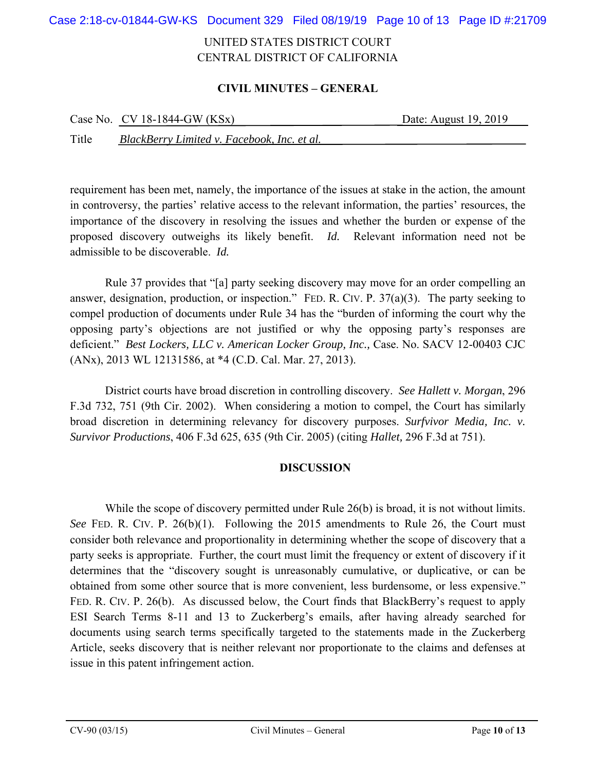Case 2:18-cv-01844-GW-KS Document 329 Filed 08/19/19 Page 10 of 13 Page ID #:21709

## UNITED STATES DISTRICT COURT CENTRAL DISTRICT OF CALIFORNIA

### **CIVIL MINUTES – GENERAL**

|       | Case No. $CV 18-1844-GW (KSx)$              | Date: August 19, 2019 |
|-------|---------------------------------------------|-----------------------|
| Title | BlackBerry Limited v. Facebook, Inc. et al. |                       |

requirement has been met, namely, the importance of the issues at stake in the action, the amount in controversy, the parties' relative access to the relevant information, the parties' resources, the importance of the discovery in resolving the issues and whether the burden or expense of the proposed discovery outweighs its likely benefit. *Id.* Relevant information need not be admissible to be discoverable. *Id.*

Rule 37 provides that "[a] party seeking discovery may move for an order compelling an answer, designation, production, or inspection." FED. R. CIV. P. 37(a)(3). The party seeking to compel production of documents under Rule 34 has the "burden of informing the court why the opposing party's objections are not justified or why the opposing party's responses are deficient." *Best Lockers, LLC v. American Locker Group, Inc.,* Case. No. SACV 12-00403 CJC (ANx), 2013 WL 12131586, at \*4 (C.D. Cal. Mar. 27, 2013).

District courts have broad discretion in controlling discovery. *See Hallett v. Morgan*, 296 F.3d 732, 751 (9th Cir. 2002). When considering a motion to compel, the Court has similarly broad discretion in determining relevancy for discovery purposes. *Surfvivor Media, Inc. v. Survivor Productions*, 406 F.3d 625, 635 (9th Cir. 2005) (citing *Hallet,* 296 F.3d at 751).

### **DISCUSSION**

While the scope of discovery permitted under Rule 26(b) is broad, it is not without limits. *See* FED. R. CIV. P. 26(b)(1). Following the 2015 amendments to Rule 26, the Court must consider both relevance and proportionality in determining whether the scope of discovery that a party seeks is appropriate. Further, the court must limit the frequency or extent of discovery if it determines that the "discovery sought is unreasonably cumulative, or duplicative, or can be obtained from some other source that is more convenient, less burdensome, or less expensive." FED. R. CIV. P. 26(b). As discussed below, the Court finds that BlackBerry's request to apply ESI Search Terms 8-11 and 13 to Zuckerberg's emails, after having already searched for documents using search terms specifically targeted to the statements made in the Zuckerberg Article, seeks discovery that is neither relevant nor proportionate to the claims and defenses at issue in this patent infringement action.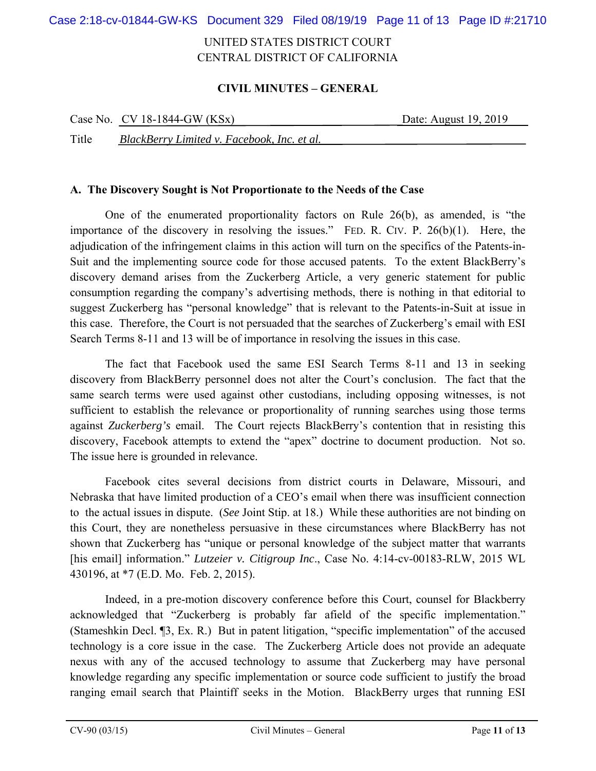Case 2:18-cv-01844-GW-KS Document 329 Filed 08/19/19 Page 11 of 13 Page ID #:21710

## UNITED STATES DISTRICT COURT CENTRAL DISTRICT OF CALIFORNIA

### **CIVIL MINUTES – GENERAL**

|       | Case No. $CV$ 18-1844-GW (KSx)              | Date: August 19, 2019 |
|-------|---------------------------------------------|-----------------------|
| Title | BlackBerry Limited v. Facebook, Inc. et al. |                       |

### **A. The Discovery Sought is Not Proportionate to the Needs of the Case**

One of the enumerated proportionality factors on Rule 26(b), as amended, is "the importance of the discovery in resolving the issues." FED. R. CIV. P. 26(b)(1). Here, the adjudication of the infringement claims in this action will turn on the specifics of the Patents-in-Suit and the implementing source code for those accused patents. To the extent BlackBerry's discovery demand arises from the Zuckerberg Article, a very generic statement for public consumption regarding the company's advertising methods, there is nothing in that editorial to suggest Zuckerberg has "personal knowledge" that is relevant to the Patents-in-Suit at issue in this case. Therefore, the Court is not persuaded that the searches of Zuckerberg's email with ESI Search Terms 8-11 and 13 will be of importance in resolving the issues in this case.

The fact that Facebook used the same ESI Search Terms 8-11 and 13 in seeking discovery from BlackBerry personnel does not alter the Court's conclusion. The fact that the same search terms were used against other custodians, including opposing witnesses, is not sufficient to establish the relevance or proportionality of running searches using those terms against *Zuckerberg's* email. The Court rejects BlackBerry's contention that in resisting this discovery, Facebook attempts to extend the "apex" doctrine to document production. Not so. The issue here is grounded in relevance.

Facebook cites several decisions from district courts in Delaware, Missouri, and Nebraska that have limited production of a CEO's email when there was insufficient connection to the actual issues in dispute. (*See* Joint Stip. at 18.) While these authorities are not binding on this Court, they are nonetheless persuasive in these circumstances where BlackBerry has not shown that Zuckerberg has "unique or personal knowledge of the subject matter that warrants [his email] information." *Lutzeier v. Citigroup Inc*., Case No. 4:14-cv-00183-RLW, 2015 WL 430196, at \*7 (E.D. Mo. Feb. 2, 2015).

Indeed, in a pre-motion discovery conference before this Court, counsel for Blackberry acknowledged that "Zuckerberg is probably far afield of the specific implementation." (Stameshkin Decl. ¶3, Ex. R.) But in patent litigation, "specific implementation" of the accused technology is a core issue in the case. The Zuckerberg Article does not provide an adequate nexus with any of the accused technology to assume that Zuckerberg may have personal knowledge regarding any specific implementation or source code sufficient to justify the broad ranging email search that Plaintiff seeks in the Motion. BlackBerry urges that running ESI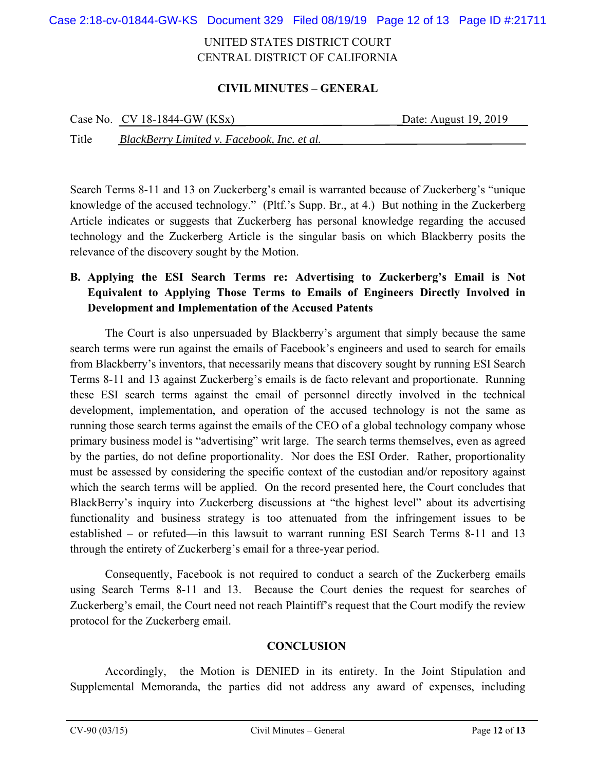Case 2:18-cv-01844-GW-KS Document 329 Filed 08/19/19 Page 12 of 13 Page ID #:21711

## UNITED STATES DISTRICT COURT CENTRAL DISTRICT OF CALIFORNIA

### **CIVIL MINUTES – GENERAL**

|       | Case No. $CV 18-1844-GW (KSx)$              | Date: August 19, 2019 |
|-------|---------------------------------------------|-----------------------|
| Title | BlackBerry Limited v. Facebook, Inc. et al. |                       |

Search Terms 8-11 and 13 on Zuckerberg's email is warranted because of Zuckerberg's "unique knowledge of the accused technology." (Pltf.'s Supp. Br., at 4.) But nothing in the Zuckerberg Article indicates or suggests that Zuckerberg has personal knowledge regarding the accused technology and the Zuckerberg Article is the singular basis on which Blackberry posits the relevance of the discovery sought by the Motion.

# **B. Applying the ESI Search Terms re: Advertising to Zuckerberg's Email is Not Equivalent to Applying Those Terms to Emails of Engineers Directly Involved in Development and Implementation of the Accused Patents**

The Court is also unpersuaded by Blackberry's argument that simply because the same search terms were run against the emails of Facebook's engineers and used to search for emails from Blackberry's inventors, that necessarily means that discovery sought by running ESI Search Terms 8-11 and 13 against Zuckerberg's emails is de facto relevant and proportionate. Running these ESI search terms against the email of personnel directly involved in the technical development, implementation, and operation of the accused technology is not the same as running those search terms against the emails of the CEO of a global technology company whose primary business model is "advertising" writ large. The search terms themselves, even as agreed by the parties, do not define proportionality. Nor does the ESI Order. Rather, proportionality must be assessed by considering the specific context of the custodian and/or repository against which the search terms will be applied. On the record presented here, the Court concludes that BlackBerry's inquiry into Zuckerberg discussions at "the highest level" about its advertising functionality and business strategy is too attenuated from the infringement issues to be established – or refuted—in this lawsuit to warrant running ESI Search Terms 8-11 and 13 through the entirety of Zuckerberg's email for a three-year period.

Consequently, Facebook is not required to conduct a search of the Zuckerberg emails using Search Terms 8-11 and 13. Because the Court denies the request for searches of Zuckerberg's email, the Court need not reach Plaintiff's request that the Court modify the review protocol for the Zuckerberg email.

### **CONCLUSION**

Accordingly, the Motion is DENIED in its entirety. In the Joint Stipulation and Supplemental Memoranda, the parties did not address any award of expenses, including